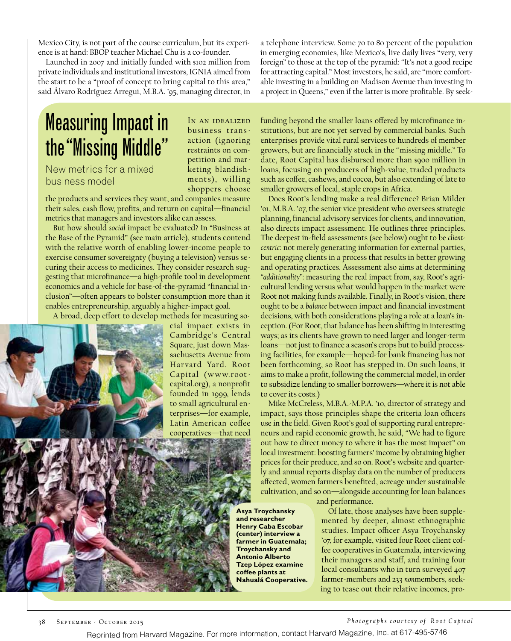Mexico City, is not part of the course curriculum, but its experience is at hand: BBOP teacher Michael Chu is a co-founder.

Launched in 2007 and initially funded with \$102 million from private individuals and institutional investors, IGNIA aimed from the start to be a "proof of concept to bring capital to this area," said Álvaro Rodríguez Arregui, M.B.A. '95, managing director, in

## Measuring Impact in the "Missing Middle"

New metrics for a mixed business model

shoppers choose the products and services they want, and companies measure their sales, cash flow, profits, and return on capital—financial metrics that managers and investors alike can assess.

But how should *social* impact be evaluated? In "Business at the Base of the Pyramid" (see main article), students contend with the relative worth of enabling lower-income people to exercise consumer sovereignty (buying a television) versus securing their access to medicines. They consider research suggesting that microfinance—a high-profile tool in development economics and a vehicle for base-of-the-pyramid "financial inclusion"—often appears to bolster consumption more than it enables entrepreneurship, arguably a higher-impact goal.

A broad, deep effort to develop methods for measuring so-

cial impact exists in Cambridge's Central Square, just down Massachusetts Avenue from Har vard Yard. Root Capital (www.rootcapital.org), a nonprofit founded in 1999, lends to small agricultural enterprises—for example, Latin American coffee cooperatives—that need

In an idealized business transaction (ignoring restraints on competition and marketing blandishments), willing a telephone interview. Some 70 to 80 percent of the population in emerging economies, like Mexico's, live daily lives "very, very foreign" to those at the top of the pyramid: "It's not a good recipe for attracting capital." Most investors, he said, are "more comfortable investing in a building on Madison Avenue than investing in a project in Queens," even if the latter is more profitable. By seek-

funding beyond the smaller loans offered by microfinance institutions, but are not yet served by commercial banks. Such enterprises provide vital rural services to hundreds of member growers, but are financially stuck in the "missing middle." To date, Root Capital has disbursed more than \$900 million in loans, focusing on producers of high-value, traded products such as coffee, cashews, and cocoa, but also extending of late to smaller growers of local, staple crops in Africa.

Does Root's lending make a real difference? Brian Milder '01, M.B.A. '07, the senior vice president who oversees strategic planning, financial advisory services for clients, and innovation, also directs impact assessment. He outlines three principles. The deepest in-field assessments (see below) ought to be *clientcentric*: not merely generating information for external parties, but engaging clients in a process that results in better growing and operating practices. Assessment also aims at determining *"additionality"*: measuring the real impact from, say, Root's agricultural lending versus what would happen in the market were Root not making funds available. Finally, in Root's vision, there ought to be a *balance* between impact and financial investment decisions, with both considerations playing a role at a loan's inception. (For Root, that balance has been shifting in interesting ways; as its clients have grown to need larger and longer-term loans—not just to finance a season's crops but to build processing facilities, for example—hoped-for bank financing has not been forthcoming, so Root has stepped in. On such loans, it aims to make a profit, following the commercial model, in order to subsidize lending to smaller borrowers—where it is not able to cover its costs.)

Mike McCreless, M.B.A.-M.P.A. '10, director of strategy and impact, says those principles shape the criteria loan officers use in the field. Given Root's goal of supporting rural entrepreneurs and rapid economic growth, he said, "We had to figure out how to direct money to where it has the most impact" on local investment: boosting farmers' income by obtaining higher prices for their produce, and so on. Root's website and quarterly and annual reports display data on the number of producers affected, women farmers benefited, acreage under sustainable cultivation, and so on—alongside accounting for loan balances

and performance.

Of late, those analyses have been supplemented by deeper, almost ethnographic studies. Impact officer Asya Troychansky '07, for example, visited four Root client coffee cooperatives in Guatemala, interviewing their managers and staff, and training four local consultants who in turn surveyed 407 farmer-members and 233 *non*members, seeking to tease out their relative incomes, pro-

## 38 September - October 2015 *Photographs courtesy of Root Capital*

Reprinted from Harvard Magazine. For more information, contact Harvard Magazine, Inc. at 617-495-5746

**and researcher Henry Caba Escobar (center) interview a farmer in Guatemala; Troychansky and Antonio Alberto Tzep López examine coffee plants at Nahualá Cooperative.**

**Asya Troychansky**